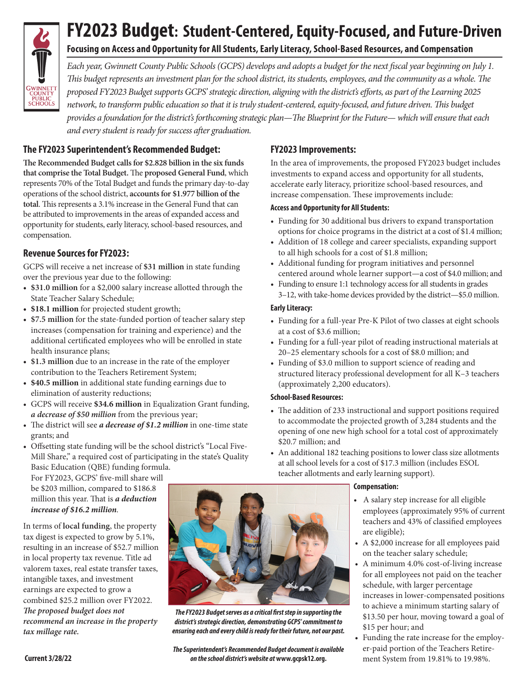

# **FY2023 Budget: Student-Centered, Equity-Focused, and Future-Driven**

## **Focusing on Access and Opportunity for All Students, Early Literacy, School-Based Resources, and Compensation**

*Each year, Gwinnett County Public Schools (GCPS) develops and adopts a budget for the next fiscal year beginning on July 1. This budget represents an investment plan for the school district, its students, employees, and the community as a whole. The proposed FY2023 Budget supports GCPS' strategic direction, aligning with the district's efforts, as part of the Learning 2025 network, to transform public education so that it is truly student-centered, equity-focused, and future driven. This budget provides a foundation for the district's forthcoming strategic plan—The Blueprint for the Future— which will ensure that each and every student is ready for success after graduation.*

## **The FY2023 Superintendent's Recommended Budget:**

**The Recommended Budget calls for \$2.828 billion in the six funds that comprise the Total Budget.** The **proposed General Fund**, which represents 70% of the Total Budget and funds the primary day-to-day operations of the school district, **accounts for \$1.977 billion of the total**. This represents a 3.1% increase in the General Fund that can be attributed to improvements in the areas of expanded access and opportunity for students, early literacy, school-based resources, and compensation.

## **Revenue Sources for FY2023:**

GCPS will receive a net increase of **\$31 million** in state funding over the previous year due to the following:

- **• \$31.0 million** for a \$2,000 salary increase allotted through the State Teacher Salary Schedule;
- **• \$18.1 million** for projected student growth;
- **• \$7.5 million** for the state-funded portion of teacher salary step increases (compensation for training and experience) and the additional certificated employees who will be enrolled in state health insurance plans;
- **• \$1.3 million** due to an increase in the rate of the employer contribution to the Teachers Retirement System;
- **• \$40.5 million** in additional state funding earnings due to elimination of austerity reductions;
- GCPS will receive **\$34.6 million** in Equalization Grant funding, *a decrease of \$50 million* from the previous year;
- The district will see *a decrease of \$1.2 million* in one-time state grants; and
- Offsetting state funding will be the school district's "Local Five-Mill Share," a required cost of participating in the state's Quality Basic Education (QBE) funding formula.

For FY2023, GCPS' five-mill share will be \$203 million, compared to \$186.8 million this year. That is *a deduction increase of \$16.2 million.*

In terms of **local funding**, the property tax digest is expected to grow by 5.1%, resulting in an increase of \$52.7 million in local property tax revenue. Title ad valorem taxes, real estate transfer taxes, intangible taxes, and investment earnings are expected to grow a combined \$25.2 million over FY2022. *The proposed budget does not recommend an increase in the property tax millage rate.*

### **FY2023 Improvements:**

In the area of improvements, the proposed FY2023 budget includes investments to expand access and opportunity for all students, accelerate early literacy, prioritize school-based resources, and increase compensation. These improvements include:

#### **Access and Opportunity for All Students:**

- Funding for 30 additional bus drivers to expand transportation options for choice programs in the district at a cost of \$1.4 million;
- Addition of 18 college and career specialists, expanding support to all high schools for a cost of \$1.8 million;
- Additional funding for program initiatives and personnel centered around whole learner support—a cost of \$4.0 million; and
- Funding to ensure 1:1 technology access for all students in grades 3–12, with take-home devices provided by the district—\$5.0 million.

#### **Early Literacy:**

- Funding for a full-year Pre-K Pilot of two classes at eight schools at a cost of \$3.6 million;
- Funding for a full-year pilot of reading instructional materials at 20–25 elementary schools for a cost of \$8.0 million; and
- Funding of \$3.0 million to support science of reading and structured literacy professional development for all K–3 teachers (approximately 2,200 educators).

#### **School-Based Resources:**

- The addition of 233 instructional and support positions required to accommodate the projected growth of 3,284 students and the opening of one new high school for a total cost of approximately \$20.7 million; and
- An additional 182 teaching positions to lower class size allotments at all school levels for a cost of \$17.3 million (includes ESOL teacher allotments and early learning support).

#### **Compensation:**

- A salary step increase for all eligible employees (approximately 95% of current teachers and 43% of classified employees are eligible);
- A \$2,000 increase for all employees paid on the teacher salary schedule;
- A minimum 4.0% cost-of-living increase for all employees not paid on the teacher schedule, with larger percentage increases in lower-compensated positions to achieve a minimum starting salary of \$13.50 per hour, moving toward a goal of \$15 per hour; and
- Funding the rate increase for the employer-paid portion of the Teachers Retirement System from 19.81% to 19.98%.



*The FY2023 Budget serves as a critical first step in supporting the district's strategic direction, demonstrating GCPS' commitment to ensuring each and every child is ready for their future, not our past.*

*The Superintendent's Recommended Budget document is available on the school district's website at* **[www.gcpsk12.org.](http://www.gcpsk12.org)**